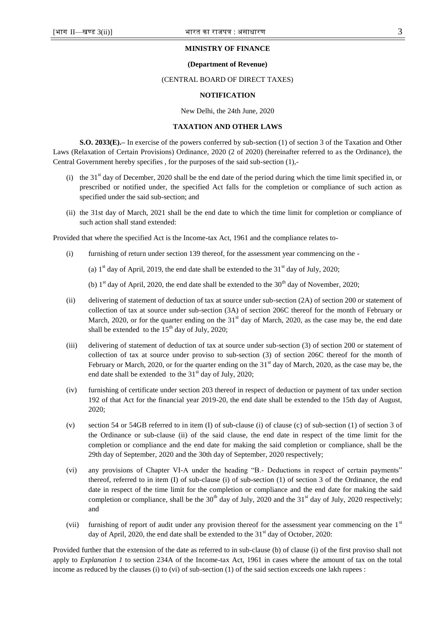### **MINISTRY OF FINANCE**

### **(Department of Revenue)**

## (CENTRAL BOARD OF DIRECT TAXES)

### **NOTIFICATION**

New Delhi, the 24th June, 2020

# **TAXATION AND OTHER LAWS**

**S.O. 2033(E).–** In exercise of the powers conferred by sub-section (1) of section 3 of the Taxation and Other Laws (Relaxation of Certain Provisions) Ordinance, 2020 (2 of 2020) (hereinafter referred to as the Ordinance), the Central Government hereby specifies , for the purposes of the said sub-section (1),-

- (i) the 31 $^{\text{st}}$  day of December, 2020 shall be the end date of the period during which the time limit specified in, or prescribed or notified under, the specified Act falls for the completion or compliance of such action as specified under the said sub-section; and
- (ii) the 31st day of March, 2021 shall be the end date to which the time limit for completion or compliance of such action shall stand extended:

Provided that where the specified Act is the Income-tax Act, 1961 and the compliance relates to-

(i) furnishing of return under section 139 thereof, for the assessment year commencing on the -

(a)  $1<sup>st</sup>$  day of April, 2019, the end date shall be extended to the 31 $<sup>st</sup>$  day of July, 2020;</sup>

(b)  $1<sup>st</sup>$  day of April, 2020, the end date shall be extended to the  $30<sup>th</sup>$  day of November, 2020;

- (ii) delivering of statement of deduction of tax at source under sub-section (2A) of section 200 or statement of collection of tax at source under sub-section (3A) of section 206C thereof for the month of February or March, 2020, or for the quarter ending on the  $31<sup>st</sup>$  day of March, 2020, as the case may be, the end date shall be extended to the  $15<sup>th</sup>$  day of July, 2020;
- (iii) delivering of statement of deduction of tax at source under sub-section (3) of section 200 or statement of collection of tax at source under proviso to sub-section (3) of section 206C thereof for the month of February or March, 2020, or for the quarter ending on the  $31<sup>st</sup>$  day of March, 2020, as the case may be, the end date shall be extended to the  $31<sup>st</sup>$  day of July, 2020;
- (iv) furnishing of certificate under section 203 thereof in respect of deduction or payment of tax under section 192 of that Act for the financial year 2019-20, the end date shall be extended to the 15th day of August, 2020;
- (v) section 54 or 54GB referred to in item (I) of sub-clause (i) of clause (c) of sub-section (1) of section 3 of the Ordinance or sub-clause (ii) of the said clause, the end date in respect of the time limit for the completion or compliance and the end date for making the said completion or compliance, shall be the 29th day of September, 2020 and the 30th day of September, 2020 respectively;
- (vi) any provisions of Chapter VI-A under the heading "B.- Deductions in respect of certain payments" thereof, referred to in item (I) of sub-clause (i) of sub-section (1) of section 3 of the Ordinance, the end date in respect of the time limit for the completion or compliance and the end date for making the said completion or compliance, shall be the  $30<sup>th</sup>$  day of July, 2020 and the 31<sup>st</sup> day of July, 2020 respectively; and
- (vii) furnishing of report of audit under any provision thereof for the assessment year commencing on the 1<sup>st</sup> day of April, 2020, the end date shall be extended to the  $31<sup>st</sup>$  day of October, 2020:

Provided further that the extension of the date as referred to in sub-clause (b) of clause (i) of the first proviso shall not apply to *Explanation 1* to section 234A of the Income-tax Act, 1961 in cases where the amount of tax on the total income as reduced by the clauses (i) to (vi) of sub-section (1) of the said section exceeds one lakh rupees :